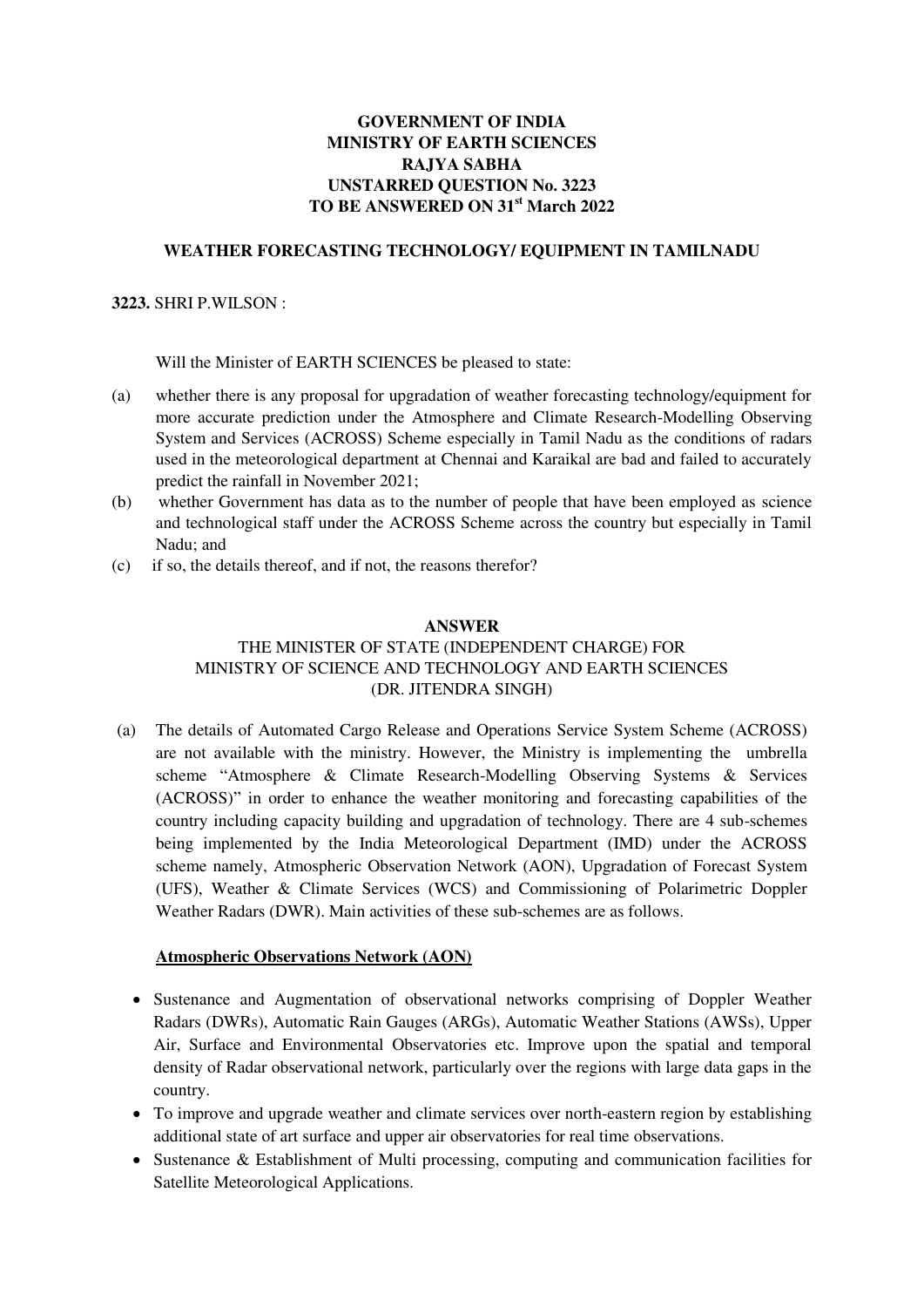# **GOVERNMENT OF INDIA MINISTRY OF EARTH SCIENCES RAJYA SABHA UNSTARRED QUESTION No. 3223 TO BE ANSWERED ON 31st March 2022**

### **WEATHER FORECASTING TECHNOLOGY/ EQUIPMENT IN TAMILNADU**

### **3223.** SHRI P.WILSON :

Will the Minister of EARTH SCIENCES be pleased to state:

- (a) whether there is any proposal for upgradation of weather forecasting technology/equipment for more accurate prediction under the Atmosphere and Climate Research-Modelling Observing System and Services (ACROSS) Scheme especially in Tamil Nadu as the conditions of radars used in the meteorological department at Chennai and Karaikal are bad and failed to accurately predict the rainfall in November 2021;
- (b) whether Government has data as to the number of people that have been employed as science and technological staff under the ACROSS Scheme across the country but especially in Tamil Nadu; and
- (c) if so, the details thereof, and if not, the reasons therefor?

#### **ANSWER**

### THE MINISTER OF STATE (INDEPENDENT CHARGE) FOR MINISTRY OF SCIENCE AND TECHNOLOGY AND EARTH SCIENCES (DR. JITENDRA SINGH)

(a) The details of Automated Cargo Release and Operations Service System Scheme (ACROSS) are not available with the ministry. However, the Ministry is implementing the umbrella scheme "Atmosphere & Climate Research-Modelling Observing Systems & Services (ACROSS)" in order to enhance the weather monitoring and forecasting capabilities of the country including capacity building and upgradation of technology. There are 4 sub-schemes being implemented by the India Meteorological Department (IMD) under the ACROSS scheme namely, Atmospheric Observation Network (AON), Upgradation of Forecast System (UFS), Weather & Climate Services (WCS) and Commissioning of Polarimetric Doppler Weather Radars (DWR). Main activities of these sub-schemes are as follows.

#### **Atmospheric Observations Network (AON)**

- Sustenance and Augmentation of observational networks comprising of Doppler Weather Radars (DWRs), Automatic Rain Gauges (ARGs), Automatic Weather Stations (AWSs), Upper Air, Surface and Environmental Observatories etc. Improve upon the spatial and temporal density of Radar observational network, particularly over the regions with large data gaps in the country.
- To improve and upgrade weather and climate services over north-eastern region by establishing additional state of art surface and upper air observatories for real time observations.
- Sustenance & Establishment of Multi processing, computing and communication facilities for Satellite Meteorological Applications.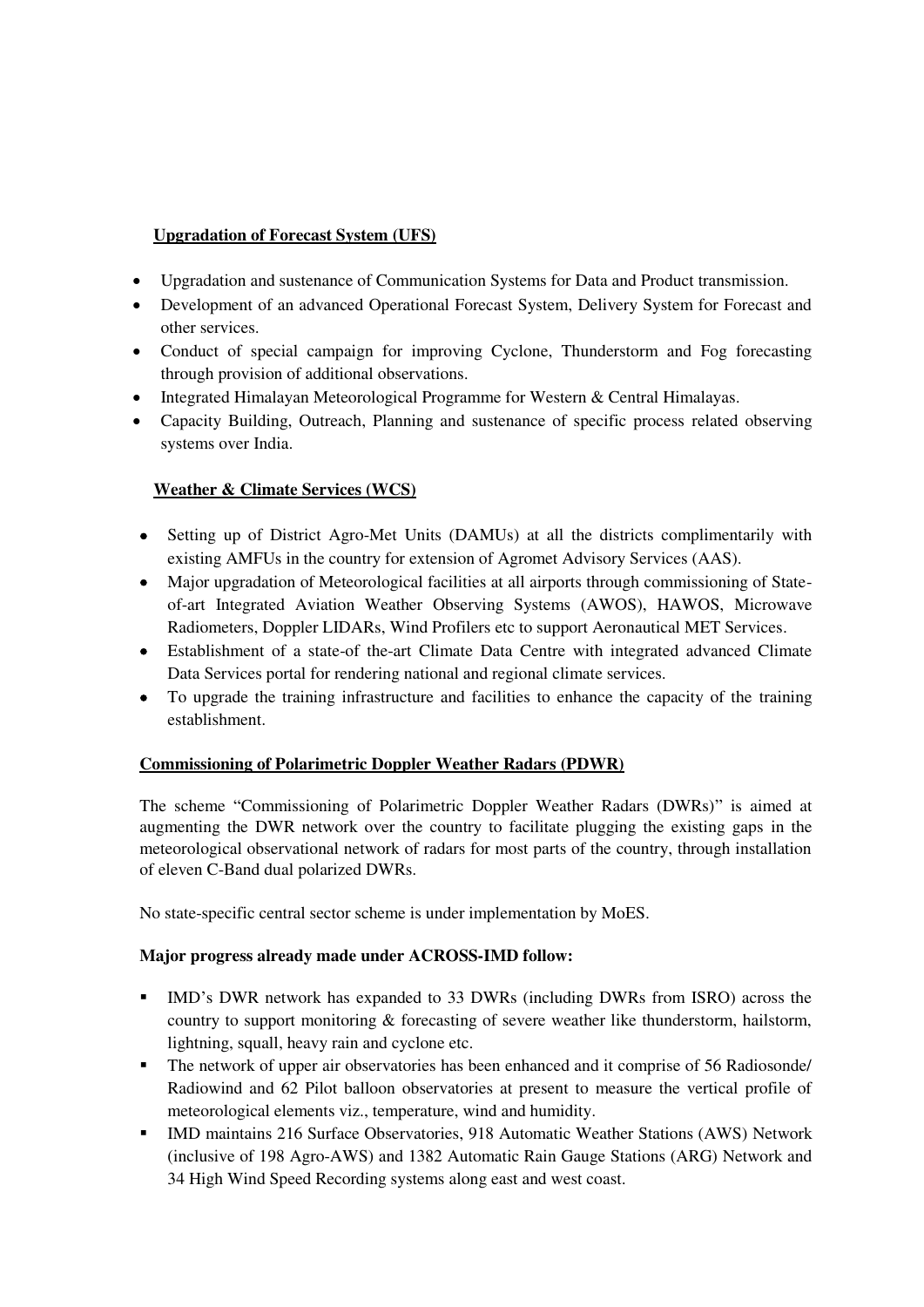# **Upgradation of Forecast System (UFS)**

- Upgradation and sustenance of Communication Systems for Data and Product transmission.
- Development of an advanced Operational Forecast System, Delivery System for Forecast and other services.
- Conduct of special campaign for improving Cyclone, Thunderstorm and Fog forecasting through provision of additional observations.
- Integrated Himalayan Meteorological Programme for Western & Central Himalayas.
- Capacity Building, Outreach, Planning and sustenance of specific process related observing systems over India.

# **Weather & Climate Services (WCS)**

- Setting up of District Agro-Met Units (DAMUs) at all the districts complimentarily with existing AMFUs in the country for extension of Agromet Advisory Services (AAS).
- Major upgradation of Meteorological facilities at all airports through commissioning of Stateof-art Integrated Aviation Weather Observing Systems (AWOS), HAWOS, Microwave Radiometers, Doppler LIDARs, Wind Profilers etc to support Aeronautical MET Services.
- Establishment of a state-of the-art Climate Data Centre with integrated advanced Climate Data Services portal for rendering national and regional climate services.
- To upgrade the training infrastructure and facilities to enhance the capacity of the training establishment.

# **Commissioning of Polarimetric Doppler Weather Radars (PDWR)**

The scheme "Commissioning of Polarimetric Doppler Weather Radars (DWRs)" is aimed at augmenting the DWR network over the country to facilitate plugging the existing gaps in the meteorological observational network of radars for most parts of the country, through installation of eleven C-Band dual polarized DWRs.

No state-specific central sector scheme is under implementation by MoES.

# **Major progress already made under ACROSS-IMD follow:**

- IMD's DWR network has expanded to 33 DWRs (including DWRs from ISRO) across the country to support monitoring & forecasting of severe weather like thunderstorm, hailstorm, lightning, squall, heavy rain and cyclone etc.
- The network of upper air observatories has been enhanced and it comprise of 56 Radiosonde/ Radiowind and 62 Pilot balloon observatories at present to measure the vertical profile of meteorological elements viz., temperature, wind and humidity.
- IMD maintains 216 Surface Observatories, 918 Automatic Weather Stations (AWS) Network (inclusive of 198 Agro-AWS) and 1382 Automatic Rain Gauge Stations (ARG) Network and 34 High Wind Speed Recording systems along east and west coast.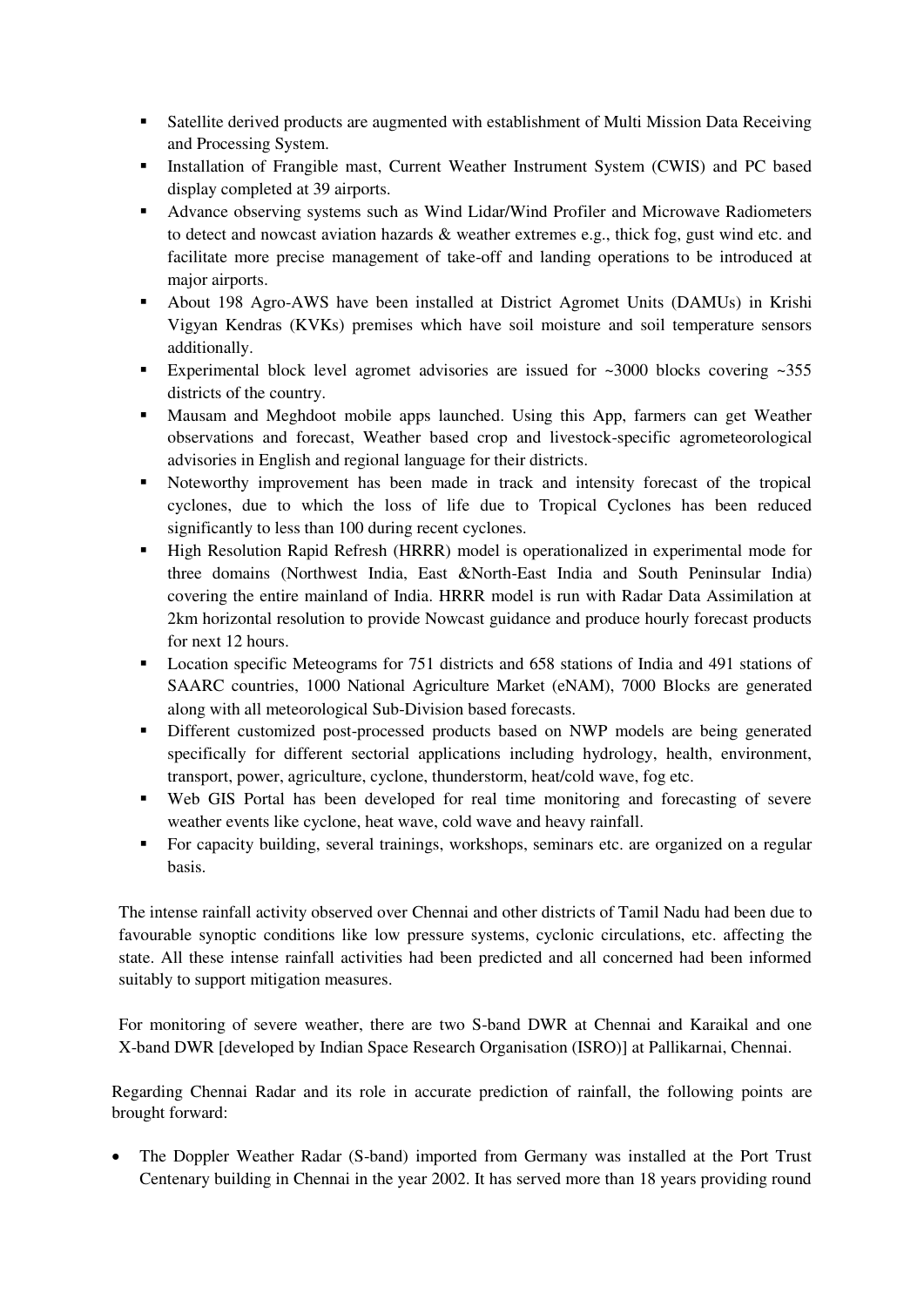- Satellite derived products are augmented with establishment of Multi Mission Data Receiving and Processing System.
- Installation of Frangible mast, Current Weather Instrument System (CWIS) and PC based display completed at 39 airports.
- Advance observing systems such as Wind Lidar/Wind Profiler and Microwave Radiometers to detect and nowcast aviation hazards & weather extremes e.g., thick fog, gust wind etc. and facilitate more precise management of take-off and landing operations to be introduced at major airports.
- About 198 Agro-AWS have been installed at District Agromet Units (DAMUs) in Krishi Vigyan Kendras (KVKs) premises which have soil moisture and soil temperature sensors additionally.
- Experimental block level agromet advisories are issued for  $\approx 3000$  blocks covering  $\approx 355$ districts of the country.
- Mausam and Meghdoot mobile apps launched. Using this App, farmers can get Weather observations and forecast, Weather based crop and livestock-specific agrometeorological advisories in English and regional language for their districts.
- Noteworthy improvement has been made in track and intensity forecast of the tropical cyclones, due to which the loss of life due to Tropical Cyclones has been reduced significantly to less than 100 during recent cyclones.
- **High Resolution Rapid Refresh (HRRR) model is operationalized in experimental mode for** three domains (Northwest India, East &North-East India and South Peninsular India) covering the entire mainland of India. HRRR model is run with Radar Data Assimilation at 2km horizontal resolution to provide Nowcast guidance and produce hourly forecast products for next 12 hours.
- **•** Location specific Meteograms for 751 districts and 658 stations of India and 491 stations of SAARC countries, 1000 National Agriculture Market (eNAM), 7000 Blocks are generated along with all meteorological Sub-Division based forecasts.
- Different customized post-processed products based on NWP models are being generated specifically for different sectorial applications including hydrology, health, environment, transport, power, agriculture, cyclone, thunderstorm, heat/cold wave, fog etc.
- Web GIS Portal has been developed for real time monitoring and forecasting of severe weather events like cyclone, heat wave, cold wave and heavy rainfall.
- For capacity building, several trainings, workshops, seminars etc. are organized on a regular basis.

The intense rainfall activity observed over Chennai and other districts of Tamil Nadu had been due to favourable synoptic conditions like low pressure systems, cyclonic circulations, etc. affecting the state. All these intense rainfall activities had been predicted and all concerned had been informed suitably to support mitigation measures.

For monitoring of severe weather, there are two S-band DWR at Chennai and Karaikal and one X-band DWR [developed by Indian Space Research Organisation (ISRO)] at Pallikarnai, Chennai.

Regarding Chennai Radar and its role in accurate prediction of rainfall, the following points are brought forward:

 The Doppler Weather Radar (S-band) imported from Germany was installed at the Port Trust Centenary building in Chennai in the year 2002. It has served more than 18 years providing round